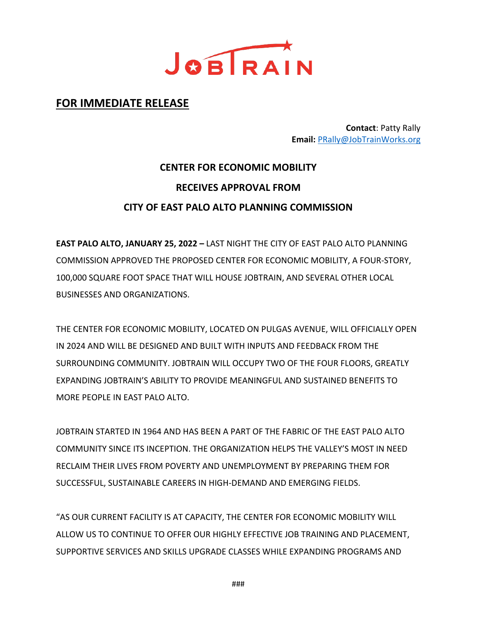

# **FOR IMMEDIATE RELEASE**

**Contact**: Patty Rally **Email:** [PRally@JobTrainWorks.org](mailto:PRally@JobTrainWorks.org)

# **CENTER FOR ECONOMIC MOBILITY RECEIVES APPROVAL FROM CITY OF EAST PALO ALTO PLANNING COMMISSION**

**EAST PALO ALTO, JANUARY 25, 2022 –** LAST NIGHT THE CITY OF EAST PALO ALTO PLANNING COMMISSION APPROVED THE PROPOSED CENTER FOR ECONOMIC MOBILITY, A FOUR-STORY, 100,000 SQUARE FOOT SPACE THAT WILL HOUSE JOBTRAIN, AND SEVERAL OTHER LOCAL BUSINESSES AND ORGANIZATIONS.

THE CENTER FOR ECONOMIC MOBILITY, LOCATED ON PULGAS AVENUE, WILL OFFICIALLY OPEN IN 2024 AND WILL BE DESIGNED AND BUILT WITH INPUTS AND FEEDBACK FROM THE SURROUNDING COMMUNITY. JOBTRAIN WILL OCCUPY TWO OF THE FOUR FLOORS, GREATLY EXPANDING JOBTRAIN'S ABILITY TO PROVIDE MEANINGFUL AND SUSTAINED BENEFITS TO MORE PEOPLE IN EAST PALO ALTO.

JOBTRAIN STARTED IN 1964 AND HAS BEEN A PART OF THE FABRIC OF THE EAST PALO ALTO COMMUNITY SINCE ITS INCEPTION. THE ORGANIZATION HELPS THE VALLEY'S MOST IN NEED RECLAIM THEIR LIVES FROM POVERTY AND UNEMPLOYMENT BY PREPARING THEM FOR SUCCESSFUL, SUSTAINABLE CAREERS IN HIGH-DEMAND AND EMERGING FIELDS.

"AS OUR CURRENT FACILITY IS AT CAPACITY, THE CENTER FOR ECONOMIC MOBILITY WILL ALLOW US TO CONTINUE TO OFFER OUR HIGHLY EFFECTIVE JOB TRAINING AND PLACEMENT, SUPPORTIVE SERVICES AND SKILLS UPGRADE CLASSES WHILE EXPANDING PROGRAMS AND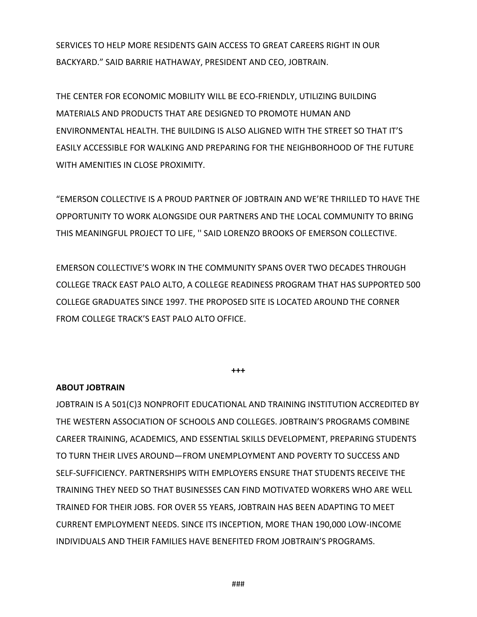SERVICES TO HELP MORE RESIDENTS GAIN ACCESS TO GREAT CAREERS RIGHT IN OUR BACKYARD." SAID BARRIE HATHAWAY, PRESIDENT AND CEO, JOBTRAIN.

THE CENTER FOR ECONOMIC MOBILITY WILL BE ECO-FRIENDLY, UTILIZING BUILDING MATERIALS AND PRODUCTS THAT ARE DESIGNED TO PROMOTE HUMAN AND ENVIRONMENTAL HEALTH. THE BUILDING IS ALSO ALIGNED WITH THE STREET SO THAT IT'S EASILY ACCESSIBLE FOR WALKING AND PREPARING FOR THE NEIGHBORHOOD OF THE FUTURE WITH AMENITIES IN CLOSE PROXIMITY.

"EMERSON COLLECTIVE IS A PROUD PARTNER OF JOBTRAIN AND WE'RE THRILLED TO HAVE THE OPPORTUNITY TO WORK ALONGSIDE OUR PARTNERS AND THE LOCAL COMMUNITY TO BRING THIS MEANINGFUL PROJECT TO LIFE, '' SAID LORENZO BROOKS OF EMERSON COLLECTIVE.

EMERSON COLLECTIVE'S WORK IN THE COMMUNITY SPANS OVER TWO DECADES THROUGH COLLEGE TRACK EAST PALO ALTO, A COLLEGE READINESS PROGRAM THAT HAS SUPPORTED 500 COLLEGE GRADUATES SINCE 1997. THE PROPOSED SITE IS LOCATED AROUND THE CORNER FROM COLLEGE TRACK'S EAST PALO ALTO OFFICE.

**+++**

#### **ABOUT JOBTRAIN**

JOBTRAIN IS A 501(C)3 NONPROFIT EDUCATIONAL AND TRAINING INSTITUTION ACCREDITED BY THE WESTERN ASSOCIATION OF SCHOOLS AND COLLEGES. JOBTRAIN'S PROGRAMS COMBINE CAREER TRAINING, ACADEMICS, AND ESSENTIAL SKILLS DEVELOPMENT, PREPARING STUDENTS TO TURN THEIR LIVES AROUND—FROM UNEMPLOYMENT AND POVERTY TO SUCCESS AND SELF-SUFFICIENCY. PARTNERSHIPS WITH EMPLOYERS ENSURE THAT STUDENTS RECEIVE THE TRAINING THEY NEED SO THAT BUSINESSES CAN FIND MOTIVATED WORKERS WHO ARE WELL TRAINED FOR THEIR JOBS. FOR OVER 55 YEARS, JOBTRAIN HAS BEEN ADAPTING TO MEET CURRENT EMPLOYMENT NEEDS. SINCE ITS INCEPTION, MORE THAN 190,000 LOW-INCOME INDIVIDUALS AND THEIR FAMILIES HAVE BENEFITED FROM JOBTRAIN'S PROGRAMS.